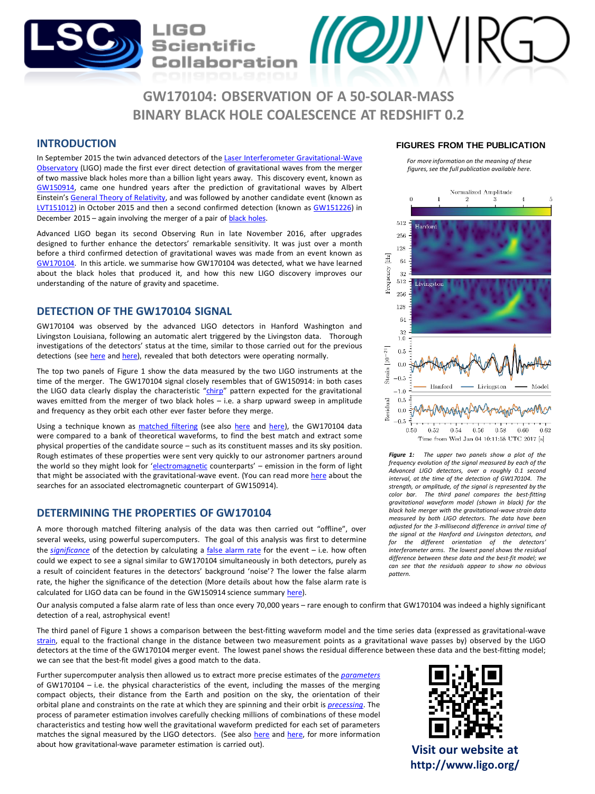# **GW170104: OBSERVATION OF A 50-SOLAR-MASS BINARY BLACK HOLE COALESCENCE AT REDSHIFT 0.2**

 $\mathcal{U}(\mathcal{O})\mathcal{Y}$ 

## **INTRODUCTION**

In September 2015 the twin advanced detectors of the Laser Interferometer [Gravitational-Wave](https://www.advancedligo.mit.edu/) Observatory (LIGO) made the first ever direct detection of gravitational waves from the merger of two massive black holes more than a billion light years away. This discovery event, known as [GW150914,](http://ligo.org/detections/GW150914.php) came one hundred years after the prediction of gravitational waves by Albert Einstein's General Theory of [Relativity](https://en.wikipedia.org/wiki/General_relativity), and was followed by another candidate event (known as [LVT151012](https://losc.ligo.org/events/LVT151012/)) in October 2015 and then a second confirmed detection (known as [GW151226\)](http://ligo.org/detections/GW151226.php) in December 2015 – again involving the merger of a pair of **black [holes](https://en.wikipedia.org/wiki/Black_hole)**.

Scientific

ollaboratior

Advanced LIGO began its second Observing Run in late November 2016, after upgrades designed to further enhance the detectors' remarkable sensitivity. It was just over a month before a third confirmed detection of gravitational waves was made from an event known as [GW170104.](http://ligo.org/detections/GW170104.php) In this article. we summarise how GW170104 was detected, what we have learned about the black holes that produced it, and how this new LIGO discovery improves our understanding of the nature of gravity and spacetime.

# **DETECTION OF THE GW170104 SIGNAL**

GW170104 was observed by the advanced LIGO detectors in Hanford Washington and Livingston Louisiana, following an automatic alert triggered by the Livingston data. Thorough investigations of the detectors' status at the time, similar to those carried out for the previous detections (see [here](http://ligo.org/science/Publication-O1Noise/index.php) and [here\)](http://ligo.org/science/Publication-GW150914Detchar/index.php), revealed that both detectors were operating normally.

The top two panels of Figure 1 show the data measured by the two LIGO instruments at the time of the merger. The GW170104 signal closely resembles that of GW150914: in both cases the LIGO data clearly display the characteristic "[chirp](https://en.wikipedia.org/wiki/Chirp)" pattern expected for the gravitational waves emitted from the merger of two black holes – i.e. a sharp upward sweep in amplitude and frequency as they orbit each other ever faster before they merge.

Using a technique known as [matched](https://en.wikipedia.org/wiki/Matched_filter) filtering (see also [here](http://ligo.org/science/Publication-GW151226/index.php) and [here\)](http://ligo.org/science/Publication-GW150914CBC/index.php), the GW170104 data were compared to a bank of theoretical waveforms, to find the best match and extract some physical properties of the candidate source – such as its constituent masses and its sky position. Rough estimates of these properties were sent very quickly to our astronomer partners around the world so they might look for '[electromagnetic](https://en.wikipedia.org/wiki/Electromagnetic_radiation) counterparts' – emission in the form of light that might be associated with the gravitational-wave event. (You can read more [here](http://iopscience.iop.org/article/10.3847/2041-8205/826/1/L13/meta) about the searches for an associated electromagnetic counterpart of GW150914).

## **DETERMINING THE PROPERTIES OF GW170104**

A more thorough matched filtering analysis of the data was then carried out "offline", over several weeks, using powerful supercomputers. The goal of this analysis was first to determine the *[significance](https://en.wikipedia.org/wiki/Statistical_significance)* of the detection by calculating a false [alarm](https://en.wikipedia.org/wiki/False_positive_rate) rate for the event – i.e. how often could we expect to see a signal similar to GW170104 simultaneously in both detectors, purely as a result of coincident features in the detectors' background 'noise'? The lower the false alarm rate, the higher the significance of the detection (More details about how the false alarm rate is calculated for LIGO data can be found in the GW150914 science summary [here](http://ligo.org/science/Publication-GW150914/index.php)).

Our analysis computed a false alarm rate of less than once every 70,000 years – rare enough to confirm that GW170104 was indeed a highly significant detection of a real, astrophysical event!

The third panel of Figure 1 shows a comparison between the best-fitting waveform model and the time series data (expressed as gravitational-wave [strain,](https://en.wikipedia.org/wiki/Deformation_(mechanics)#Engineering_strain) equal to the fractional change in the distance between two measurement points as a gravitational wave passes by) observed by the LIGO detectors at the time of the GW170104 merger event. The lowest panel shows the residual difference between these data and the best-fitting model; we can see that the best-fit model gives a good match to the data.

Further supercomputer analysis then allowed us to extract more precise estimates of the *[parameters](https://en.wikipedia.org/wiki/Parameter)* of GW170104 – i.e. the physical characteristics of the event, including the masses of the merging compact objects, their distance from the Earth and position on the sky, the orientation of their orbital plane and constraints on the rate at which they are spinning and their orbit is *[precessing](https://en.wikipedia.org/wiki/Precession)*. The process of parameter estimation involves carefully checking millions of combinations of these model characteristics and testing how well the gravitational waveform predicted for each set of parameters matches the signal measured by the LIGO detectors. (See also [here](https://dcc.ligo.org/P1500218/public) and [here,](http://www.ligo.org/science/Publication-GW150914NRSystematics/index.php) for more information about how gravitational-wave parameter estimation is carried out).

### **FIGURES FROM THE PUBLICATION**

*For more information on the meaning of these figures, see the full publication available here.*



*Figure 1: The upper two panels show a plot of the frequency evolution of the signal measured by each of the Advanced LIGO detectors, over a roughly 0.1 second interval, at the time of the detection of GW170104. The strength, or amplitude, of the signal is represented by the color bar. The third panel compares the best-fitting gravitational waveform model (shown in black) for the black hole merger with the gravitational-wave strain data measured by both LIGO detectors. The data have been adjusted for the 3-millisecond difference in arrival time of the signal at the Hanford and Livingston detectors, and for the different orientation of the detectors' interferometer arms. The lowest panel shows the residual difference between these data and the best-fit model; we can see that the residuals appear to show no obvious pattern.*